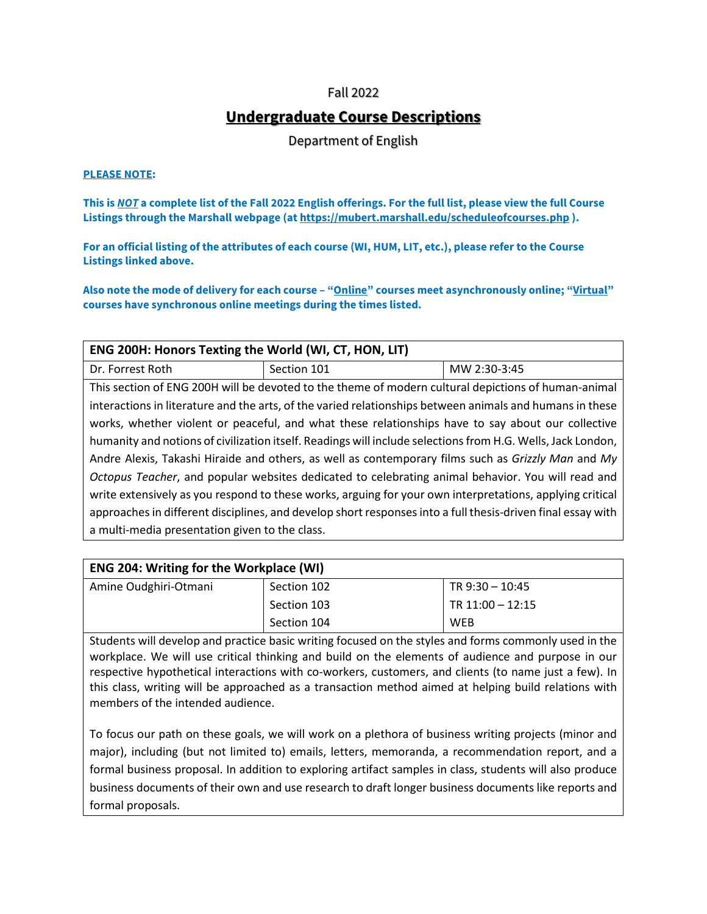## Fall 2022

# **Undergraduate Course Descriptions**

Department of English

#### **PLEASE NOTE:**

**This is** *NOT* **a complete list of the Fall 2022 English offerings. For the full list, please view the full Course Listings through the Marshall webpage (at https://mubert.marshall.edu/scheduleofcourses.php ).**

**For an official listing of the attributes of each course (WI, HUM, LIT, etc.), please refer to the Course Listings linked above.**

**Also note the mode of delivery for each course – "Online" courses meet asynchronously online; "Virtual" courses have synchronous online meetings during the times listed.**

| ENG 200H: Honors Texting the World (WI, CT, HON, LIT)                                                       |                                                                                                             |              |
|-------------------------------------------------------------------------------------------------------------|-------------------------------------------------------------------------------------------------------------|--------------|
| Dr. Forrest Roth                                                                                            | Section 101                                                                                                 | MW 2:30-3:45 |
|                                                                                                             | This section of ENG 200H will be devoted to the theme of modern cultural depictions of human-animal         |              |
|                                                                                                             | interactions in literature and the arts, of the varied relationships between animals and humans in these    |              |
|                                                                                                             | works, whether violent or peaceful, and what these relationships have to say about our collective           |              |
| humanity and notions of civilization itself. Readings will include selections from H.G. Wells, Jack London, |                                                                                                             |              |
| Andre Alexis, Takashi Hiraide and others, as well as contemporary films such as Grizzly Man and My          |                                                                                                             |              |
| Octopus Teacher, and popular websites dedicated to celebrating animal behavior. You will read and           |                                                                                                             |              |
| write extensively as you respond to these works, arguing for your own interpretations, applying critical    |                                                                                                             |              |
|                                                                                                             | approaches in different disciplines, and develop short responses into a full thesis-driven final essay with |              |
| a multi-media presentation given to the class.                                                              |                                                                                                             |              |

| <b>ENG 204: Writing for the Workplace (WI)</b> |             |                    |
|------------------------------------------------|-------------|--------------------|
| Amine Oudghiri-Otmani                          | Section 102 | TR $9:30 - 10:45$  |
|                                                | Section 103 | TR $11:00 - 12:15$ |
|                                                | Section 104 | <b>WEB</b>         |

Students will develop and practice basic writing focused on the styles and forms commonly used in the workplace. We will use critical thinking and build on the elements of audience and purpose in our respective hypothetical interactions with co-workers, customers, and clients (to name just a few). In this class, writing will be approached as a transaction method aimed at helping build relations with members of the intended audience.

To focus our path on these goals, we will work on a plethora of business writing projects (minor and major), including (but not limited to) emails, letters, memoranda, a recommendation report, and a formal business proposal. In addition to exploring artifact samples in class, students will also produce business documents of their own and use research to draft longer business documents like reports and formal proposals.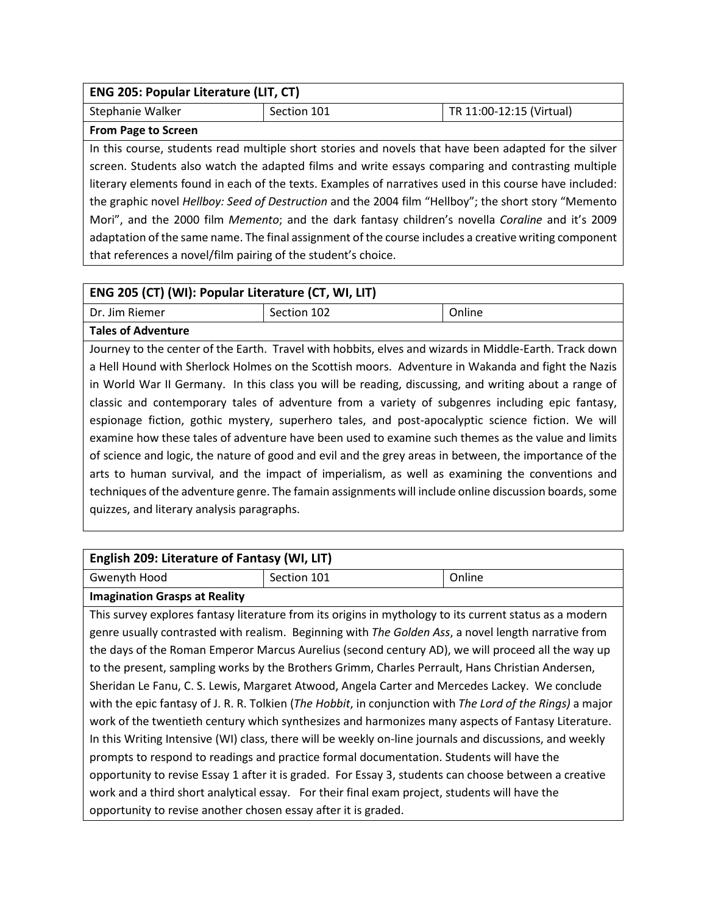| ENG 205: Popular Literature (LIT, CT)                                                                   |                                                                                                       |                          |
|---------------------------------------------------------------------------------------------------------|-------------------------------------------------------------------------------------------------------|--------------------------|
| Stephanie Walker                                                                                        | Section 101                                                                                           | TR 11:00-12:15 (Virtual) |
| <b>From Page to Screen</b>                                                                              |                                                                                                       |                          |
|                                                                                                         | In this course, students read multiple short stories and novels that have been adapted for the silver |                          |
| screen. Students also watch the adapted films and write essays comparing and contrasting multiple       |                                                                                                       |                          |
| literary elements found in each of the texts. Examples of narratives used in this course have included: |                                                                                                       |                          |
| the graphic novel Hellboy: Seed of Destruction and the 2004 film "Hellboy"; the short story "Memento    |                                                                                                       |                          |
| Mori", and the 2000 film Memento; and the dark fantasy children's novella Coraline and it's 2009        |                                                                                                       |                          |
| adaptation of the same name. The final assignment of the course includes a creative writing component   |                                                                                                       |                          |
| that references a novel/film pairing of the student's choice.                                           |                                                                                                       |                          |

| ENG 205 (CT) (WI): Popular Literature (CT, WI, LIT)                                                    |                                                                                                        |        |
|--------------------------------------------------------------------------------------------------------|--------------------------------------------------------------------------------------------------------|--------|
| Dr. Jim Riemer                                                                                         | Section 102                                                                                            | Online |
| <b>Tales of Adventure</b>                                                                              |                                                                                                        |        |
|                                                                                                        | Journey to the center of the Earth. Travel with hobbits, elves and wizards in Middle-Earth. Track down |        |
|                                                                                                        | a Hell Hound with Sherlock Holmes on the Scottish moors. Adventure in Wakanda and fight the Nazis      |        |
|                                                                                                        | in World War II Germany. In this class you will be reading, discussing, and writing about a range of   |        |
| classic and contemporary tales of adventure from a variety of subgenres including epic fantasy,        |                                                                                                        |        |
| espionage fiction, gothic mystery, superhero tales, and post-apocalyptic science fiction. We will      |                                                                                                        |        |
|                                                                                                        | examine how these tales of adventure have been used to examine such themes as the value and limits     |        |
| of science and logic, the nature of good and evil and the grey areas in between, the importance of the |                                                                                                        |        |
|                                                                                                        | arts to human survival, and the impact of imperialism, as well as examining the conventions and        |        |
|                                                                                                        | techniques of the adventure genre. The famain assignments will include online discussion boards, some  |        |
| quizzes, and literary analysis paragraphs.                                                             |                                                                                                        |        |

| English 209: Literature of Fantasy (WI, LIT)                                                   |                                                                                                           |        |  |
|------------------------------------------------------------------------------------------------|-----------------------------------------------------------------------------------------------------------|--------|--|
| Gwenyth Hood                                                                                   | Section 101                                                                                               | Online |  |
| <b>Imagination Grasps at Reality</b>                                                           |                                                                                                           |        |  |
|                                                                                                | This survey explores fantasy literature from its origins in mythology to its current status as a modern   |        |  |
|                                                                                                | genre usually contrasted with realism. Beginning with The Golden Ass, a novel length narrative from       |        |  |
|                                                                                                | the days of the Roman Emperor Marcus Aurelius (second century AD), we will proceed all the way up         |        |  |
|                                                                                                | to the present, sampling works by the Brothers Grimm, Charles Perrault, Hans Christian Andersen,          |        |  |
| Sheridan Le Fanu, C. S. Lewis, Margaret Atwood, Angela Carter and Mercedes Lackey. We conclude |                                                                                                           |        |  |
|                                                                                                | with the epic fantasy of J. R. R. Tolkien (The Hobbit, in conjunction with The Lord of the Rings) a major |        |  |
|                                                                                                | work of the twentieth century which synthesizes and harmonizes many aspects of Fantasy Literature.        |        |  |
|                                                                                                | In this Writing Intensive (WI) class, there will be weekly on-line journals and discussions, and weekly   |        |  |
| prompts to respond to readings and practice formal documentation. Students will have the       |                                                                                                           |        |  |
|                                                                                                | opportunity to revise Essay 1 after it is graded. For Essay 3, students can choose between a creative     |        |  |
|                                                                                                | work and a third short analytical essay. For their final exam project, students will have the             |        |  |
| opportunity to revise another chosen essay after it is graded.                                 |                                                                                                           |        |  |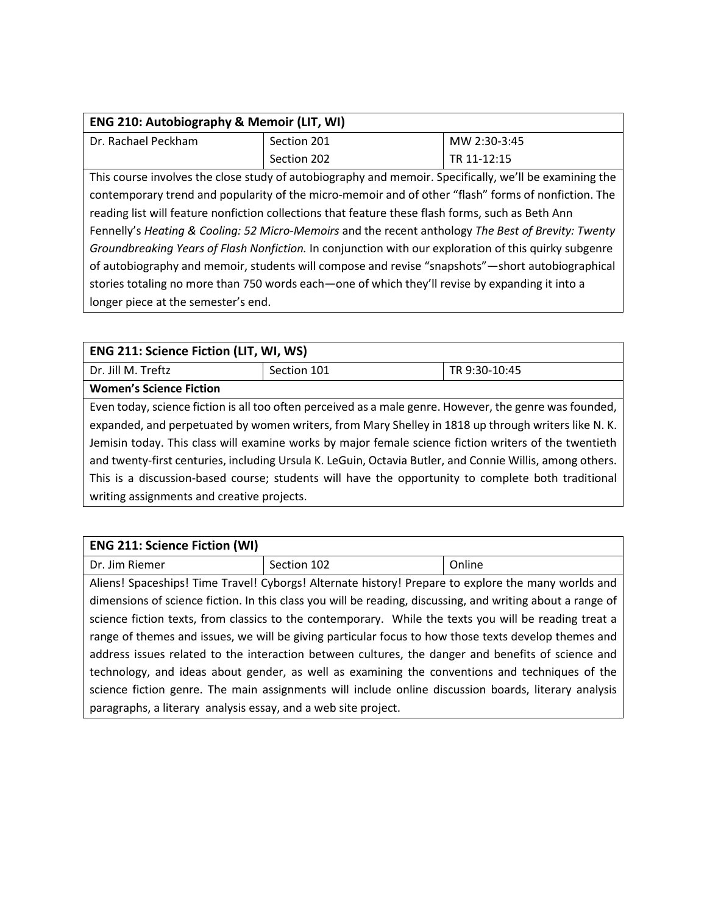| <b>ENG 210: Autobiography &amp; Memoir (LIT, WI)</b> |             |              |
|------------------------------------------------------|-------------|--------------|
| Dr. Rachael Peckham                                  | Section 201 | MW 2:30-3:45 |
|                                                      | Section 202 | TR 11-12:15  |

This course involves the close study of autobiography and memoir. Specifically, we'll be examining the contemporary trend and popularity of the micro-memoir and of other "flash" forms of nonfiction. The reading list will feature nonfiction collections that feature these flash forms, such as Beth Ann Fennelly's *Heating & Cooling: 52 Micro-Memoirs* and the recent anthology *The Best of Brevity: Twenty Groundbreaking Years of Flash Nonfiction.* In conjunction with our exploration of this quirky subgenre of autobiography and memoir, students will compose and revise "snapshots"—short autobiographical stories totaling no more than 750 words each—one of which they'll revise by expanding it into a longer piece at the semester's end.

| <b>ENG 211: Science Fiction (LIT, WI, WS)</b>                                                            |             |               |
|----------------------------------------------------------------------------------------------------------|-------------|---------------|
| Dr. Jill M. Treftz                                                                                       | Section 101 | TR 9:30-10:45 |
| <b>Women's Science Fiction</b>                                                                           |             |               |
| Even today, science fiction is all too often perceived as a male genre. However, the genre was founded,  |             |               |
| expanded, and perpetuated by women writers, from Mary Shelley in 1818 up through writers like N. K.      |             |               |
| Jemisin today. This class will examine works by major female science fiction writers of the twentieth    |             |               |
| and twenty-first centuries, including Ursula K. LeGuin, Octavia Butler, and Connie Willis, among others. |             |               |

This is a discussion-based course; students will have the opportunity to complete both traditional writing assignments and creative projects.

| <b>ENG 211: Science Fiction (WI)</b>                                                                  |                                                                                                            |        |
|-------------------------------------------------------------------------------------------------------|------------------------------------------------------------------------------------------------------------|--------|
| Dr. Jim Riemer                                                                                        | Section 102                                                                                                | Online |
|                                                                                                       | Aliens! Spaceships! Time Travel! Cyborgs! Alternate history! Prepare to explore the many worlds and        |        |
|                                                                                                       | dimensions of science fiction. In this class you will be reading, discussing, and writing about a range of |        |
| science fiction texts, from classics to the contemporary. While the texts you will be reading treat a |                                                                                                            |        |
| range of themes and issues, we will be giving particular focus to how those texts develop themes and  |                                                                                                            |        |
| address issues related to the interaction between cultures, the danger and benefits of science and    |                                                                                                            |        |
| technology, and ideas about gender, as well as examining the conventions and techniques of the        |                                                                                                            |        |
|                                                                                                       | science fiction genre. The main assignments will include online discussion boards, literary analysis       |        |
| paragraphs, a literary analysis essay, and a web site project.                                        |                                                                                                            |        |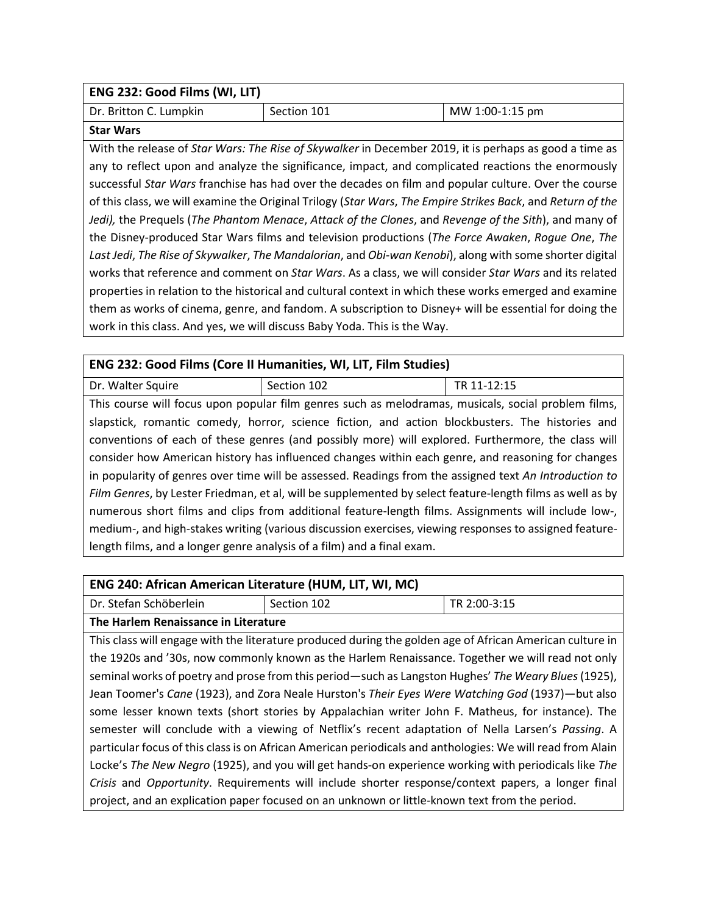| ENG 232: Good Films (WI, LIT)                                                                              |                                                                                                         |                 |  |
|------------------------------------------------------------------------------------------------------------|---------------------------------------------------------------------------------------------------------|-----------------|--|
| Dr. Britton C. Lumpkin                                                                                     | Section 101                                                                                             | MW 1:00-1:15 pm |  |
| <b>Star Wars</b>                                                                                           |                                                                                                         |                 |  |
|                                                                                                            | With the release of Star Wars: The Rise of Skywalker in December 2019, it is perhaps as good a time as  |                 |  |
|                                                                                                            | any to reflect upon and analyze the significance, impact, and complicated reactions the enormously      |                 |  |
|                                                                                                            | successful Star Wars franchise has had over the decades on film and popular culture. Over the course    |                 |  |
| of this class, we will examine the Original Trilogy (Star Wars, The Empire Strikes Back, and Return of the |                                                                                                         |                 |  |
| Jedi), the Prequels (The Phantom Menace, Attack of the Clones, and Revenge of the Sith), and many of       |                                                                                                         |                 |  |
| the Disney-produced Star Wars films and television productions (The Force Awaken, Rogue One, The           |                                                                                                         |                 |  |
|                                                                                                            | Last Jedi, The Rise of Skywalker, The Mandalorian, and Obi-wan Kenobi), along with some shorter digital |                 |  |
| works that reference and comment on Star Wars. As a class, we will consider Star Wars and its related      |                                                                                                         |                 |  |
| properties in relation to the historical and cultural context in which these works emerged and examine     |                                                                                                         |                 |  |
|                                                                                                            | them as works of cinema, genre, and fandom. A subscription to Disney+ will be essential for doing the   |                 |  |
|                                                                                                            | work in this class. And yes, we will discuss Baby Yoda. This is the Way.                                |                 |  |
|                                                                                                            |                                                                                                         |                 |  |

| ENG 232: Good Films (Core II Humanities, WI, LIT, Film Studies)                                           |                                                                                                     |             |
|-----------------------------------------------------------------------------------------------------------|-----------------------------------------------------------------------------------------------------|-------------|
| Dr. Walter Squire                                                                                         | Section 102                                                                                         | TR 11-12:15 |
|                                                                                                           | This course will focus upon popular film genres such as melodramas, musicals, social problem films, |             |
|                                                                                                           | slapstick, romantic comedy, horror, science fiction, and action blockbusters. The histories and     |             |
| conventions of each of these genres (and possibly more) will explored. Furthermore, the class will        |                                                                                                     |             |
| consider how American history has influenced changes within each genre, and reasoning for changes         |                                                                                                     |             |
| in popularity of genres over time will be assessed. Readings from the assigned text An Introduction to    |                                                                                                     |             |
| Film Genres, by Lester Friedman, et al, will be supplemented by select feature-length films as well as by |                                                                                                     |             |
| numerous short films and clips from additional feature-length films. Assignments will include low-,       |                                                                                                     |             |
| medium-, and high-stakes writing (various discussion exercises, viewing responses to assigned feature-    |                                                                                                     |             |
| length films, and a longer genre analysis of a film) and a final exam.                                    |                                                                                                     |             |

# **ENG 240: African American Literature (HUM, LIT, WI, MC)**

Dr. Stefan Schöberlein | Section 102 | TR 2:00-3:15

**The Harlem Renaissance in Literature** 

This class will engage with the literature produced during the golden age of African American culture in the 1920s and '30s, now commonly known as the Harlem Renaissance. Together we will read not only seminal works of poetry and prose from this period—such as Langston Hughes' *The Weary Blues*(1925), Jean Toomer's *Cane* (1923), and Zora Neale Hurston's *Their Eyes Were Watching God* (1937)—but also some lesser known texts (short stories by Appalachian writer John F. Matheus, for instance). The semester will conclude with a viewing of Netflix's recent adaptation of Nella Larsen's *Passing*. A particular focus of this class is on African American periodicals and anthologies: We will read from Alain Locke's *The New Negro* (1925), and you will get hands-on experience working with periodicals like *The Crisis* and *Opportunity*. Requirements will include shorter response/context papers, a longer final project, and an explication paper focused on an unknown or little-known text from the period.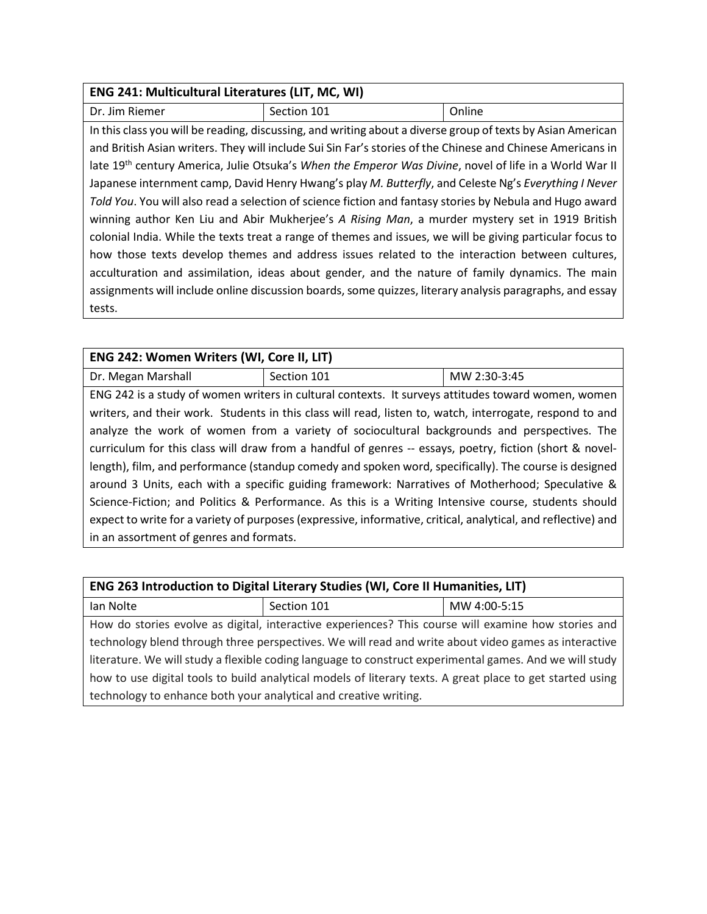## **ENG 241: Multicultural Literatures (LIT, MC, WI)**

Dr. Jim Riemer Section 101 and Section 101 In this class you will be reading, discussing, and writing about a diverse group of texts by Asian American and British Asian writers. They will include Sui Sin Far's stories of the Chinese and Chinese Americans in late 19th century America, Julie Otsuka's *When the Emperor Was Divine*, novel of life in a World War II Japanese internment camp, David Henry Hwang's play *M. Butterfly*, and Celeste Ng's *Everything I Never Told You*. You will also read a selection of science fiction and fantasy stories by Nebula and Hugo award winning author Ken Liu and Abir Mukherjee's *A Rising Man*, a murder mystery set in 1919 British colonial India. While the texts treat a range of themes and issues, we will be giving particular focus to how those texts develop themes and address issues related to the interaction between cultures, acculturation and assimilation, ideas about gender, and the nature of family dynamics. The main assignments will include online discussion boards, some quizzes, literary analysis paragraphs, and essay tests.

| ENG 242: Women Writers (WI, Core II, LIT)                                                               |             |                                                                                                               |  |
|---------------------------------------------------------------------------------------------------------|-------------|---------------------------------------------------------------------------------------------------------------|--|
| Dr. Megan Marshall                                                                                      | Section 101 | MW 2:30-3:45                                                                                                  |  |
|                                                                                                         |             | ENG 242 is a study of women writers in cultural contexts. It surveys attitudes toward women, women            |  |
|                                                                                                         |             | writers, and their work. Students in this class will read, listen to, watch, interrogate, respond to and      |  |
|                                                                                                         |             | analyze the work of women from a variety of sociocultural backgrounds and perspectives. The                   |  |
| curriculum for this class will draw from a handful of genres -- essays, poetry, fiction (short & novel- |             |                                                                                                               |  |
| length), film, and performance (standup comedy and spoken word, specifically). The course is designed   |             |                                                                                                               |  |
|                                                                                                         |             | around 3 Units, each with a specific guiding framework: Narratives of Motherhood; Speculative &               |  |
|                                                                                                         |             | Science-Fiction; and Politics & Performance. As this is a Writing Intensive course, students should           |  |
|                                                                                                         |             | expect to write for a variety of purposes (expressive, informative, critical, analytical, and reflective) and |  |
| in an assortment of genres and formats.                                                                 |             |                                                                                                               |  |

| ENG 263 Introduction to Digital Literary Studies (WI, Core II Humanities, LIT)                            |             |              |  |
|-----------------------------------------------------------------------------------------------------------|-------------|--------------|--|
| Ian Nolte                                                                                                 | Section 101 | MW 4:00-5:15 |  |
| How do stories evolve as digital, interactive experiences? This course will examine how stories and       |             |              |  |
| technology blend through three perspectives. We will read and write about video games as interactive      |             |              |  |
| literature. We will study a flexible coding language to construct experimental games. And we will study   |             |              |  |
| how to use digital tools to build analytical models of literary texts. A great place to get started using |             |              |  |
| technology to enhance both your analytical and creative writing.                                          |             |              |  |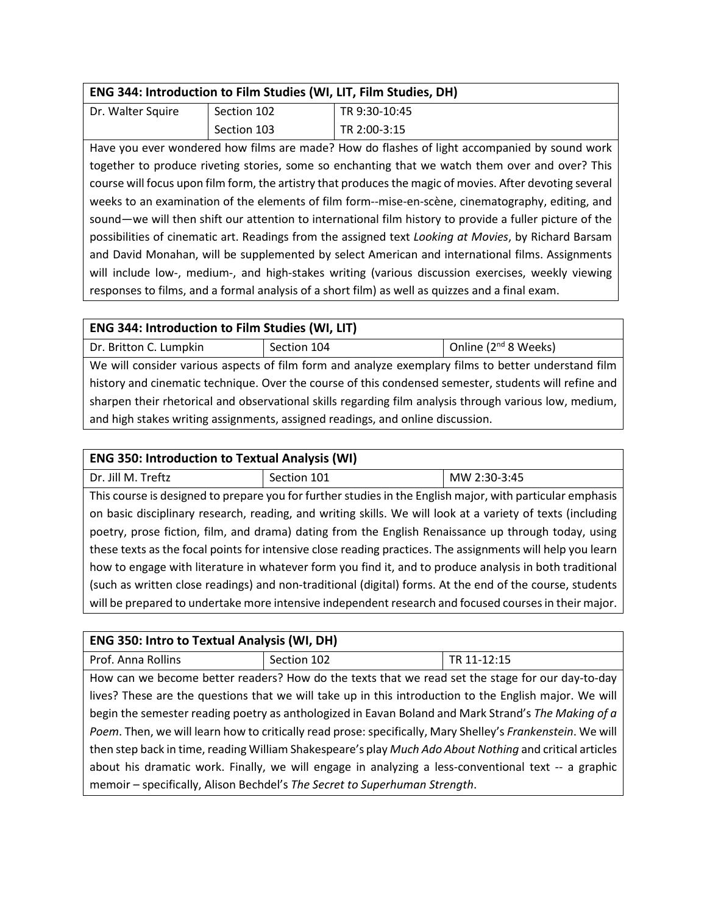| Dr. Walter Squire | Section 102 | TR 9:30-10:45 |
|-------------------|-------------|---------------|
|                   | Section 103 | TR 2:00-3:15  |

Have you ever wondered how films are made? How do flashes of light accompanied by sound work together to produce riveting stories, some so enchanting that we watch them over and over? This course will focus upon film form, the artistry that produces the magic of movies. After devoting several weeks to an examination of the elements of film form--mise-en-scène, cinematography, editing, and sound—we will then shift our attention to international film history to provide a fuller picture of the possibilities of cinematic art. Readings from the assigned text *Looking at Movies*, by Richard Barsam and David Monahan, will be supplemented by select American and international films. Assignments will include low-, medium-, and high-stakes writing (various discussion exercises, weekly viewing responses to films, and a formal analysis of a short film) as well as quizzes and a final exam.

| <b>ENG 344: Introduction to Film Studies (WI, LIT)</b>                                                 |             |                                  |
|--------------------------------------------------------------------------------------------------------|-------------|----------------------------------|
| Dr. Britton C. Lumpkin                                                                                 | Section 104 | Online (2 <sup>nd</sup> 8 Weeks) |
| We will consider various aspects of film form and analyze exemplary films to better understand film    |             |                                  |
| history and cinematic technique. Over the course of this condensed semester, students will refine and  |             |                                  |
| sharpen their rhetorical and observational skills regarding film analysis through various low, medium, |             |                                  |
| and high stakes writing assignments, assigned readings, and online discussion.                         |             |                                  |

#### **ENG 350: Introduction to Textual Analysis (WI)**

| Dr. Jill M. Treftz | Section 101 | MW 2:30-3:45 |
|--------------------|-------------|--------------|

This course is designed to prepare you for further studies in the English major, with particular emphasis on basic disciplinary research, reading, and writing skills. We will look at a variety of texts (including poetry, prose fiction, film, and drama) dating from the English Renaissance up through today, using these texts as the focal points for intensive close reading practices. The assignments will help you learn how to engage with literature in whatever form you find it, and to produce analysis in both traditional (such as written close readings) and non-traditional (digital) forms. At the end of the course, students will be prepared to undertake more intensive independent research and focused courses in their major.

#### **ENG 350: Intro to Textual Analysis (WI, DH)**

| Prof. Anna Rollins                                                                                         | Section 102                                                                                             | TR 11-12:15 |
|------------------------------------------------------------------------------------------------------------|---------------------------------------------------------------------------------------------------------|-------------|
|                                                                                                            | How can we become better readers? How do the texts that we read set the stage for our day-to-day        |             |
| lives? These are the questions that we will take up in this introduction to the English major. We will     |                                                                                                         |             |
| begin the semester reading poetry as anthologized in Eavan Boland and Mark Strand's The Making of a        |                                                                                                         |             |
| Poem. Then, we will learn how to critically read prose: specifically, Mary Shelley's Frankenstein. We will |                                                                                                         |             |
|                                                                                                            | then step back in time, reading William Shakespeare's play Much Ado About Nothing and critical articles |             |
|                                                                                                            | about his dramatic work. Finally, we will engage in analyzing a less-conventional text -- a graphic     |             |
|                                                                                                            | memoir - specifically, Alison Bechdel's The Secret to Superhuman Strength.                              |             |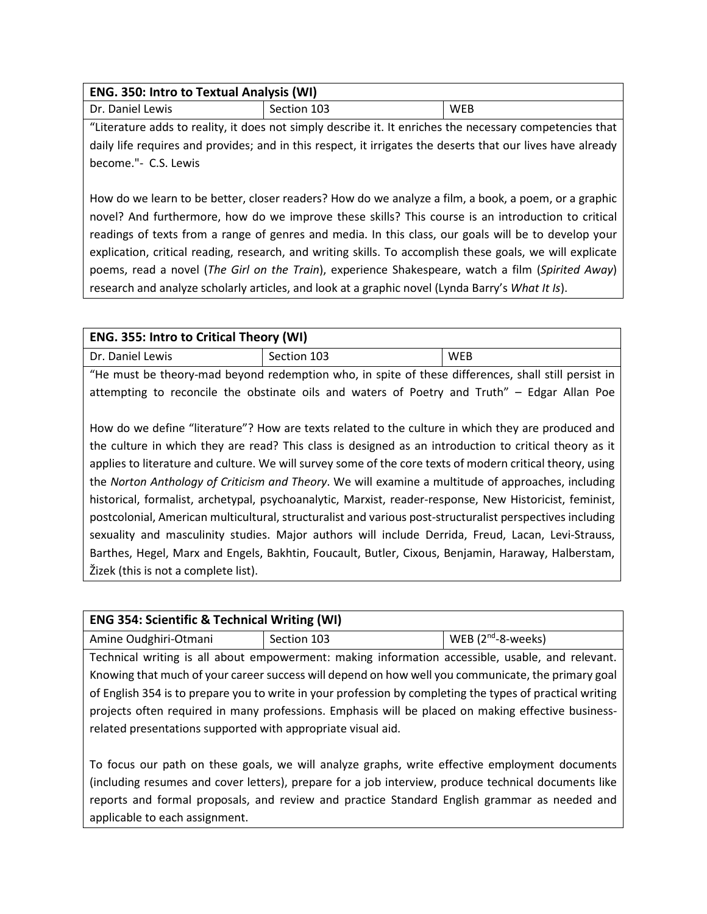| ENG. 350: Intro to Textual Analysis (WI) |             |     |
|------------------------------------------|-------------|-----|
| Dr. Daniel Lewis                         | Section 103 | WEB |

"Literature adds to reality, it does not simply describe it. It enriches the necessary competencies that daily life requires and provides; and in this respect, it irrigates the deserts that our lives have already become."- C.S. Lewis

How do we learn to be better, closer readers? How do we analyze a film, a book, a poem, or a graphic novel? And furthermore, how do we improve these skills? This course is an introduction to critical readings of texts from a range of genres and media. In this class, our goals will be to develop your explication, critical reading, research, and writing skills. To accomplish these goals, we will explicate poems, read a novel (*The Girl on the Train*), experience Shakespeare, watch a film (*Spirited Away*) research and analyze scholarly articles, and look at a graphic novel (Lynda Barry's *What It Is*).

| <b>ENG. 355: Intro to Critical Theory (WI)</b>                                                    |             |            |
|---------------------------------------------------------------------------------------------------|-------------|------------|
| Dr. Daniel Lewis                                                                                  | Section 103 | <b>WEB</b> |
| "He must he theory-mad hevond redemption who in spite of these differences shall still nersist in |             |            |

"He must be theory-mad beyond redemption who, in spite of these differences, shall still persist in attempting to reconcile the obstinate oils and waters of Poetry and Truth" – Edgar Allan Poe

How do we define "literature"? How are texts related to the culture in which they are produced and the culture in which they are read? This class is designed as an introduction to critical theory as it applies to literature and culture. We will survey some of the core texts of modern critical theory, using the *Norton Anthology of Criticism and Theory*. We will examine a multitude of approaches, including historical, formalist, archetypal, psychoanalytic, Marxist, reader-response, New Historicist, feminist, postcolonial, American multicultural, structuralist and various post-structuralist perspectives including sexuality and masculinity studies. Major authors will include Derrida, Freud, Lacan, Levi-Strauss, Barthes, Hegel, Marx and Engels, Bakhtin, Foucault, Butler, Cixous, Benjamin, Haraway, Halberstam, Žizek (this is not a complete list).

# **ENG 354: Scientific & Technical Writing (WI)**

| Amine Oudghiri-Otmani | Section 103 | WEB $(2^{nd}$ -8-weeks) |
|-----------------------|-------------|-------------------------|

Technical writing is all about empowerment: making information accessible, usable, and relevant. Knowing that much of your career success will depend on how well you communicate, the primary goal of English 354 is to prepare you to write in your profession by completing the types of practical writing projects often required in many professions. Emphasis will be placed on making effective businessrelated presentations supported with appropriate visual aid.

To focus our path on these goals, we will analyze graphs, write effective employment documents (including resumes and cover letters), prepare for a job interview, produce technical documents like reports and formal proposals, and review and practice Standard English grammar as needed and applicable to each assignment.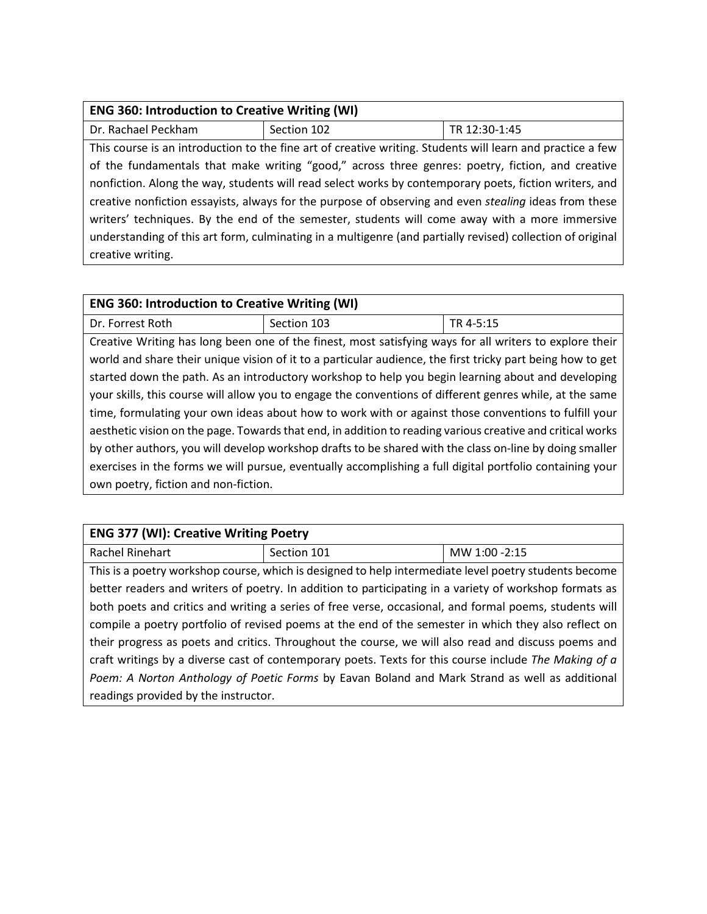| <b>ENG 360: Introduction to Creative Writing (WI)</b>                                                        |                                                                                                            |               |
|--------------------------------------------------------------------------------------------------------------|------------------------------------------------------------------------------------------------------------|---------------|
| Dr. Rachael Peckham                                                                                          | Section 102                                                                                                | TR 12:30-1:45 |
|                                                                                                              | This course is an introduction to the fine art of creative writing. Students will learn and practice a few |               |
|                                                                                                              | of the fundamentals that make writing "good," across three genres: poetry, fiction, and creative           |               |
| nonfiction. Along the way, students will read select works by contemporary poets, fiction writers, and       |                                                                                                            |               |
| creative nonfiction essayists, always for the purpose of observing and even <i>stealing</i> ideas from these |                                                                                                            |               |
| writers' techniques. By the end of the semester, students will come away with a more immersive               |                                                                                                            |               |
| understanding of this art form, culminating in a multigenre (and partially revised) collection of original   |                                                                                                            |               |
| creative writing.                                                                                            |                                                                                                            |               |

# **ENG 360: Introduction to Creative Writing (WI)**

Dr. Forrest Roth Section 103 TR 4-5:15 Creative Writing has long been one of the finest, most satisfying ways for all writers to explore their world and share their unique vision of it to a particular audience, the first tricky part being how to get started down the path. As an introductory workshop to help you begin learning about and developing your skills, this course will allow you to engage the conventions of different genres while, at the same time, formulating your own ideas about how to work with or against those conventions to fulfill your aesthetic vision on the page. Towards that end, in addition to reading various creative and critical works by other authors, you will develop workshop drafts to be shared with the class on-line by doing smaller exercises in the forms we will pursue, eventually accomplishing a full digital portfolio containing your own poetry, fiction and non-fiction.

| <b>ENG 377 (WI): Creative Writing Poetry</b>                                                           |                                                                                                        |               |
|--------------------------------------------------------------------------------------------------------|--------------------------------------------------------------------------------------------------------|---------------|
| Rachel Rinehart                                                                                        | Section 101                                                                                            | MW 1:00 -2:15 |
|                                                                                                        | This is a poetry workshop course, which is designed to help intermediate level poetry students become  |               |
|                                                                                                        | better readers and writers of poetry. In addition to participating in a variety of workshop formats as |               |
| both poets and critics and writing a series of free verse, occasional, and formal poems, students will |                                                                                                        |               |
| compile a poetry portfolio of revised poems at the end of the semester in which they also reflect on   |                                                                                                        |               |
| their progress as poets and critics. Throughout the course, we will also read and discuss poems and    |                                                                                                        |               |
| craft writings by a diverse cast of contemporary poets. Texts for this course include The Making of a  |                                                                                                        |               |
| Poem: A Norton Anthology of Poetic Forms by Eavan Boland and Mark Strand as well as additional         |                                                                                                        |               |
| readings provided by the instructor.                                                                   |                                                                                                        |               |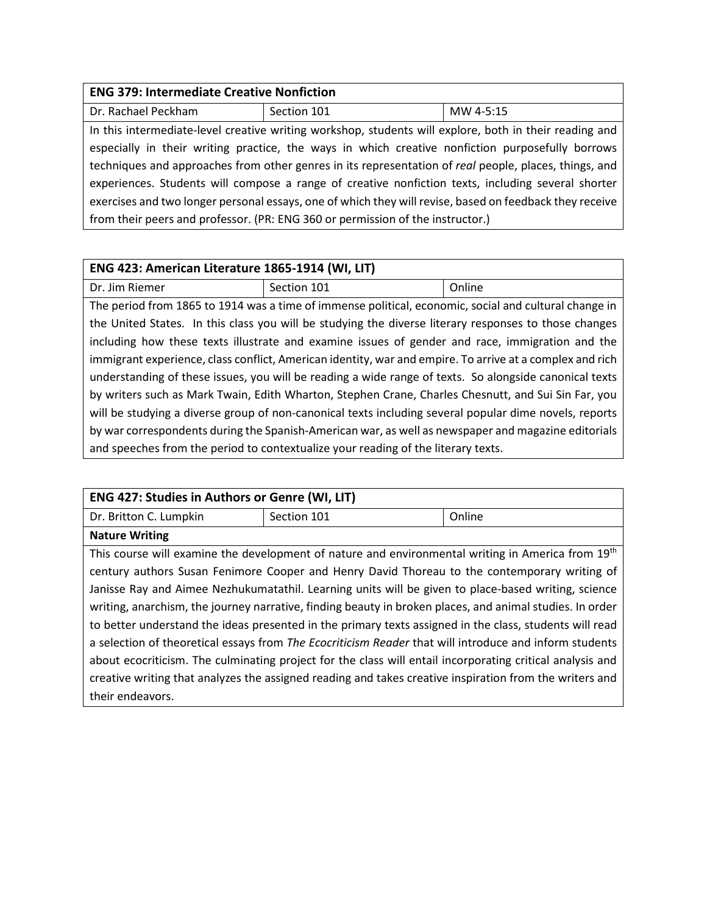## **ENG 379: Intermediate Creative Nonfiction**

| Dr. Rachael Peckham                                                            | Section 101                                                                                             | MW 4-5:15 |
|--------------------------------------------------------------------------------|---------------------------------------------------------------------------------------------------------|-----------|
|                                                                                | In this intermediate-level creative writing workshop, students will explore, both in their reading and  |           |
|                                                                                | especially in their writing practice, the ways in which creative nonfiction purposefully borrows        |           |
|                                                                                | techniques and approaches from other genres in its representation of real people, places, things, and   |           |
|                                                                                | experiences. Students will compose a range of creative nonfiction texts, including several shorter      |           |
|                                                                                | exercises and two longer personal essays, one of which they will revise, based on feedback they receive |           |
| from their peers and professor. (PR: ENG 360 or permission of the instructor.) |                                                                                                         |           |

#### **ENG 423: American Literature 1865-1914 (WI, LIT)**

Dr. Jim Riemer Section 101 and Section 101

The period from 1865 to 1914 was a time of immense political, economic, social and cultural change in the United States. In this class you will be studying the diverse literary responses to those changes including how these texts illustrate and examine issues of gender and race, immigration and the immigrant experience, class conflict, American identity, war and empire. To arrive at a complex and rich understanding of these issues, you will be reading a wide range of texts. So alongside canonical texts by writers such as Mark Twain, Edith Wharton, Stephen Crane, Charles Chesnutt, and Sui Sin Far, you will be studying a diverse group of non-canonical texts including several popular dime novels, reports by war correspondents during the Spanish-American war, as well as newspaper and magazine editorials and speeches from the period to contextualize your reading of the literary texts.

| <b>ENG 427: Studies in Authors or Genre (WI, LIT)</b>                                                     |                                                                                                               |        |
|-----------------------------------------------------------------------------------------------------------|---------------------------------------------------------------------------------------------------------------|--------|
| Dr. Britton C. Lumpkin                                                                                    | Section 101                                                                                                   | Online |
| <b>Nature Writing</b>                                                                                     |                                                                                                               |        |
|                                                                                                           | This course will examine the development of nature and environmental writing in America from 19 <sup>th</sup> |        |
|                                                                                                           | century authors Susan Fenimore Cooper and Henry David Thoreau to the contemporary writing of                  |        |
|                                                                                                           | Janisse Ray and Aimee Nezhukumatathil. Learning units will be given to place-based writing, science           |        |
| writing, anarchism, the journey narrative, finding beauty in broken places, and animal studies. In order  |                                                                                                               |        |
| to better understand the ideas presented in the primary texts assigned in the class, students will read   |                                                                                                               |        |
| a selection of theoretical essays from The Ecocriticism Reader that will introduce and inform students    |                                                                                                               |        |
| about ecocriticism. The culminating project for the class will entail incorporating critical analysis and |                                                                                                               |        |
|                                                                                                           | creative writing that analyzes the assigned reading and takes creative inspiration from the writers and       |        |
| their endeavors.                                                                                          |                                                                                                               |        |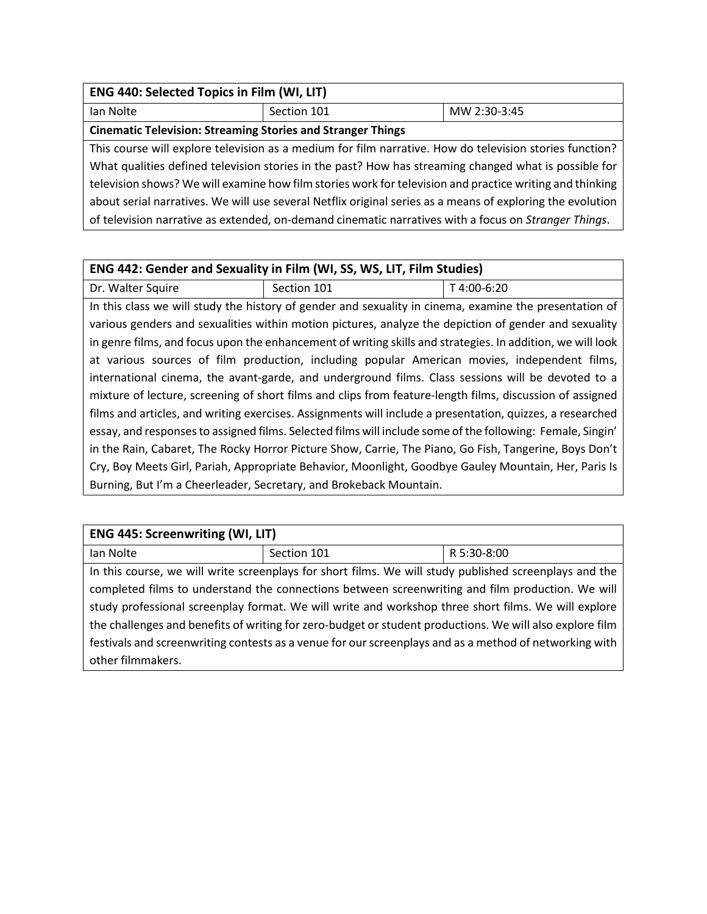| ENG 440: Selected Topics in Film (WI, LIT)                                                                 |             |              |
|------------------------------------------------------------------------------------------------------------|-------------|--------------|
| Ian Nolte                                                                                                  | Section 101 | MW 2:30-3:45 |
| <b>Cinematic Television: Streaming Stories and Stranger Things</b>                                         |             |              |
| This course will explore television as a medium for film narrative. How do television stories function?    |             |              |
| What qualities defined television stories in the past? How has streaming changed what is possible for      |             |              |
| television shows? We will examine how film stories work for television and practice writing and thinking   |             |              |
| about serial narratives. We will use several Netflix original series as a means of exploring the evolution |             |              |
| of television narrative as extended, on-demand cinematic narratives with a focus on Stranger Things.       |             |              |

## **ENG 442: Gender and Sexuality in Film (WI, SS, WS, LIT, Film Studies)**

Dr. Walter Squire  $\vert$  Section 101  $\vert$  T 4:00-6:20 In this class we will study the history of gender and sexuality in cinema, examine the presentation of various genders and sexualities within motion pictures, analyze the depiction of gender and sexuality in genre films, and focus upon the enhancement of writing skills and strategies. In addition, we will look at various sources of film production, including popular American movies, independent films, international cinema, the avant-garde, and underground films. Class sessions will be devoted to a mixture of lecture, screening of short films and clips from feature-length films, discussion of assigned films and articles, and writing exercises. Assignments will include a presentation, quizzes, a researched essay, and responses to assigned films. Selected films will include some of the following: Female, Singin' in the Rain, Cabaret, The Rocky Horror Picture Show, Carrie, The Piano, Go Fish, Tangerine, Boys Don't Cry, Boy Meets Girl, Pariah, Appropriate Behavior, Moonlight, Goodbye Gauley Mountain, Her, Paris Is Burning, But I'm a Cheerleader, Secretary, and Brokeback Mountain.

| <b>ENG 445: Screenwriting (WI, LIT)</b>                                                                  |             |             |  |
|----------------------------------------------------------------------------------------------------------|-------------|-------------|--|
| lan Nolte                                                                                                | Section 101 | R 5:30-8:00 |  |
| In this course, we will write screenplays for short films. We will study published screenplays and the   |             |             |  |
| completed films to understand the connections between screenwriting and film production. We will         |             |             |  |
| study professional screenplay format. We will write and workshop three short films. We will explore      |             |             |  |
| the challenges and benefits of writing for zero-budget or student productions. We will also explore film |             |             |  |
| festivals and screenwriting contests as a venue for our screenplays and as a method of networking with   |             |             |  |
| other filmmakers.                                                                                        |             |             |  |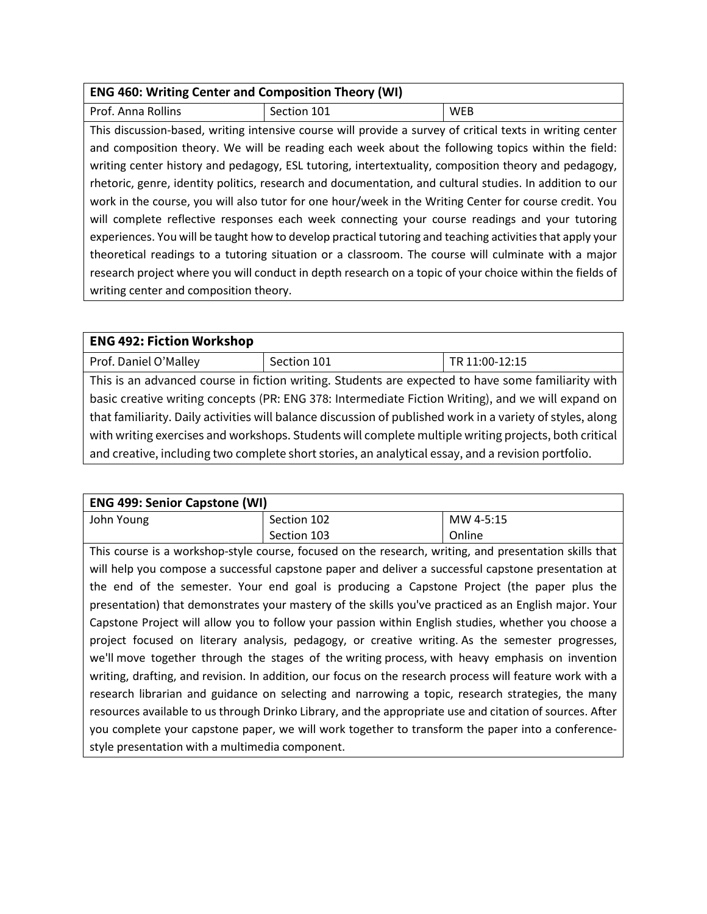| <b>ENG 460: Writing Center and Composition Theory (WI)</b>                                                |                                                                                                           |            |
|-----------------------------------------------------------------------------------------------------------|-----------------------------------------------------------------------------------------------------------|------------|
| Prof. Anna Rollins                                                                                        | Section 101                                                                                               | <b>WEB</b> |
|                                                                                                           | This discussion-based, writing intensive course will provide a survey of critical texts in writing center |            |
| and composition theory. We will be reading each week about the following topics within the field:         |                                                                                                           |            |
| writing center history and pedagogy, ESL tutoring, intertextuality, composition theory and pedagogy,      |                                                                                                           |            |
| rhetoric, genre, identity politics, research and documentation, and cultural studies. In addition to our  |                                                                                                           |            |
| work in the course, you will also tutor for one hour/week in the Writing Center for course credit. You    |                                                                                                           |            |
| will complete reflective responses each week connecting your course readings and your tutoring            |                                                                                                           |            |
| experiences. You will be taught how to develop practical tutoring and teaching activities that apply your |                                                                                                           |            |
| theoretical readings to a tutoring situation or a classroom. The course will culminate with a major       |                                                                                                           |            |
| research project where you will conduct in depth research on a topic of your choice within the fields of  |                                                                                                           |            |
| writing center and composition theory.                                                                    |                                                                                                           |            |

| <b>ENG 492: Fiction Workshop</b>                                                                           |             |                |
|------------------------------------------------------------------------------------------------------------|-------------|----------------|
| Prof. Daniel O'Malley                                                                                      | Section 101 | TR 11:00-12:15 |
| This is an advanced course in fiction writing. Students are expected to have some familiarity with         |             |                |
| basic creative writing concepts (PR: ENG 378: Intermediate Fiction Writing), and we will expand on         |             |                |
| that familiarity. Daily activities will balance discussion of published work in a variety of styles, along |             |                |
| with writing exercises and workshops. Students will complete multiple writing projects, both critical      |             |                |
| and creative, including two complete short stories, an analytical essay, and a revision portfolio.         |             |                |

| <b>ENG 499: Senior Capstone (WI)</b>                                                                     |                                                                                                        |           |
|----------------------------------------------------------------------------------------------------------|--------------------------------------------------------------------------------------------------------|-----------|
| John Young                                                                                               | Section 102                                                                                            | MW 4-5:15 |
|                                                                                                          | Section 103                                                                                            | Online    |
|                                                                                                          | This course is a workshop-style course, focused on the research, writing, and presentation skills that |           |
| will help you compose a successful capstone paper and deliver a successful capstone presentation at      |                                                                                                        |           |
| the end of the semester. Your end goal is producing a Capstone Project (the paper plus the               |                                                                                                        |           |
| presentation) that demonstrates your mastery of the skills you've practiced as an English major. Your    |                                                                                                        |           |
| Capstone Project will allow you to follow your passion within English studies, whether you choose a      |                                                                                                        |           |
| project focused on literary analysis, pedagogy, or creative writing. As the semester progresses,         |                                                                                                        |           |
| we'll move together through the stages of the writing process, with heavy emphasis on invention          |                                                                                                        |           |
| writing, drafting, and revision. In addition, our focus on the research process will feature work with a |                                                                                                        |           |
| research librarian and guidance on selecting and narrowing a topic, research strategies, the many        |                                                                                                        |           |
| resources available to us through Drinko Library, and the appropriate use and citation of sources. After |                                                                                                        |           |
|                                                                                                          | you complete your capstone paper, we will work together to transform the paper into a conference-      |           |
| style presentation with a multimedia component.                                                          |                                                                                                        |           |